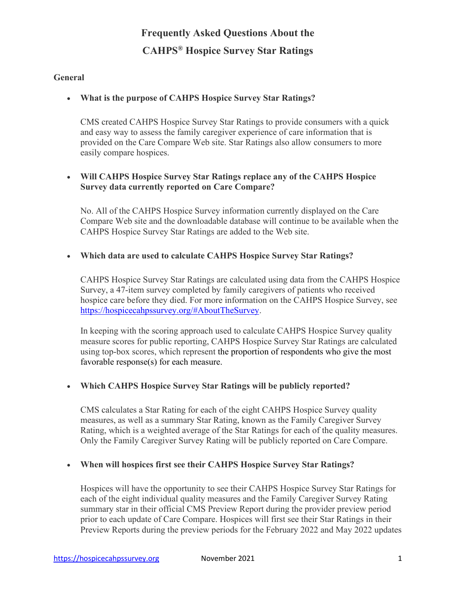#### **General**

#### • **What is the purpose of CAHPS Hospice Survey Star Ratings?**

CMS created CAHPS Hospice Survey Star Ratings to provide consumers with a quick and easy way to assess the family caregiver experience of care information that is provided on the Care Compare Web site. Star Ratings also allow consumers to more easily compare hospices.

### • **Will CAHPS Hospice Survey Star Ratings replace any of the CAHPS Hospice Survey data currently reported on Care Compare?**

No. All of the CAHPS Hospice Survey information currently displayed on the Care Compare Web site and the downloadable database will continue to be available when the CAHPS Hospice Survey Star Ratings are added to the Web site.

### • **Which data are used to calculate CAHPS Hospice Survey Star Ratings?**

CAHPS Hospice Survey Star Ratings are calculated using data from the CAHPS Hospice Survey, a 47-item survey completed by family caregivers of patients who received hospice care before they died. For more information on the CAHPS Hospice Survey, see [https://hospicecahpssurvey.org/#AboutTheSurvey.](https://hospicecahpssurvey.org/#AboutTheSurvey)

In keeping with the scoring approach used to calculate CAHPS Hospice Survey quality measure scores for public reporting, CAHPS Hospice Survey Star Ratings are calculated using top-box scores, which represent the proportion of respondents who give the most favorable response(s) for each measure.

#### • **Which CAHPS Hospice Survey Star Ratings will be publicly reported?**

CMS calculates a Star Rating for each of the eight CAHPS Hospice Survey quality measures, as well as a summary Star Rating, known as the Family Caregiver Survey Rating, which is a weighted average of the Star Ratings for each of the quality measures. Only the Family Caregiver Survey Rating will be publicly reported on Care Compare.

#### • **When will hospices first see their CAHPS Hospice Survey Star Ratings?**

Hospices will have the opportunity to see their CAHPS Hospice Survey Star Ratings for each of the eight individual quality measures and the Family Caregiver Survey Rating summary star in their official CMS Preview Report during the provider preview period prior to each update of Care Compare. Hospices will first see their Star Ratings in their Preview Reports during the preview periods for the February 2022 and May 2022 updates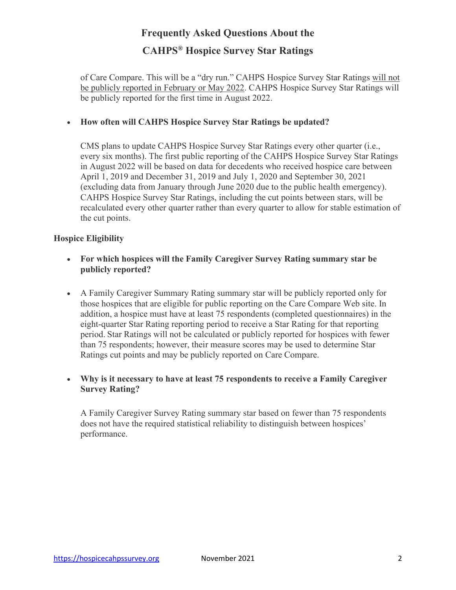of Care Compare. This will be a "dry run." CAHPS Hospice Survey Star Ratings will not be publicly reported in February or May 2022. CAHPS Hospice Survey Star Ratings will be publicly reported for the first time in August 2022.

### • **How often will CAHPS Hospice Survey Star Ratings be updated?**

CMS plans to update CAHPS Hospice Survey Star Ratings every other quarter (i.e., every six months). The first public reporting of the CAHPS Hospice Survey Star Ratings in August 2022 will be based on data for decedents who received hospice care between April 1, 2019 and December 31, 2019 and July 1, 2020 and September 30, 2021 (excluding data from January through June 2020 due to the public health emergency). CAHPS Hospice Survey Star Ratings, including the cut points between stars, will be recalculated every other quarter rather than every quarter to allow for stable estimation of the cut points.

#### **Hospice Eligibility**

- **For which hospices will the Family Caregiver Survey Rating summary star be publicly reported?**
- A Family Caregiver Summary Rating summary star will be publicly reported only for those hospices that are eligible for public reporting on the Care Compare Web site. In addition, a hospice must have at least 75 respondents (completed questionnaires) in the eight-quarter Star Rating reporting period to receive a Star Rating for that reporting period. Star Ratings will not be calculated or publicly reported for hospices with fewer than 75 respondents; however, their measure scores may be used to determine Star Ratings cut points and may be publicly reported on Care Compare.

### • **Why is it necessary to have at least 75 respondents to receive a Family Caregiver Survey Rating?**

A Family Caregiver Survey Rating summary star based on fewer than 75 respondents does not have the required statistical reliability to distinguish between hospices' performance.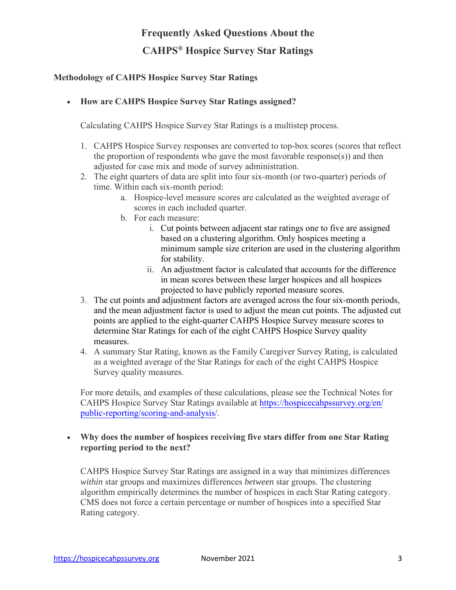### **Methodology of CAHPS Hospice Survey Star Ratings**

### • **How are CAHPS Hospice Survey Star Ratings assigned?**

Calculating CAHPS Hospice Survey Star Ratings is a multistep process.

- 1. CAHPS Hospice Survey responses are converted to top-box scores (scores that reflect the proportion of respondents who gave the most favorable response(s)) and then adjusted for case mix and mode of survey administration.
- 2. The eight quarters of data are split into four six-month (or two-quarter) periods of time. Within each six-month period:
	- a. Hospice-level measure scores are calculated as the weighted average of scores in each included quarter.
	- b. For each measure:
		- i. Cut points between adjacent star ratings one to five are assigned based on a clustering algorithm. Only hospices meeting a minimum sample size criterion are used in the clustering algorithm for stability.
		- ii. An adjustment factor is calculated that accounts for the difference in mean scores between these larger hospices and all hospices projected to have publicly reported measure scores.
- 3. The cut points and adjustment factors are averaged across the four six-month periods, and the mean adjustment factor is used to adjust the mean cut points. The adjusted cut points are applied to the eight-quarter CAHPS Hospice Survey measure scores to determine Star Ratings for each of the eight CAHPS Hospice Survey quality measures.
- 4. A summary Star Rating, known as the Family Caregiver Survey Rating, is calculated as a weighted average of the Star Ratings for each of the eight CAHPS Hospice Survey quality measures.

For more details, and examples of these calculations, please see the Technical Notes for CAHPS Hospice Survey Star Ratings available at [https://hospicecahpssurvey.org/en/](https://hospicecahpssurvey.org/en/public-reporting/scoring-and-analysis/) [public-reporting/scoring-and-analysis/](https://hospicecahpssurvey.org/en/public-reporting/scoring-and-analysis/).

#### • **Why does the number of hospices receiving five stars differ from one Star Rating reporting period to the next?**

CAHPS Hospice Survey Star Ratings are assigned in a way that minimizes differences *within* star groups and maximizes differences *between* star groups. The clustering algorithm empirically determines the number of hospices in each Star Rating category. CMS does not force a certain percentage or number of hospices into a specified Star Rating category.